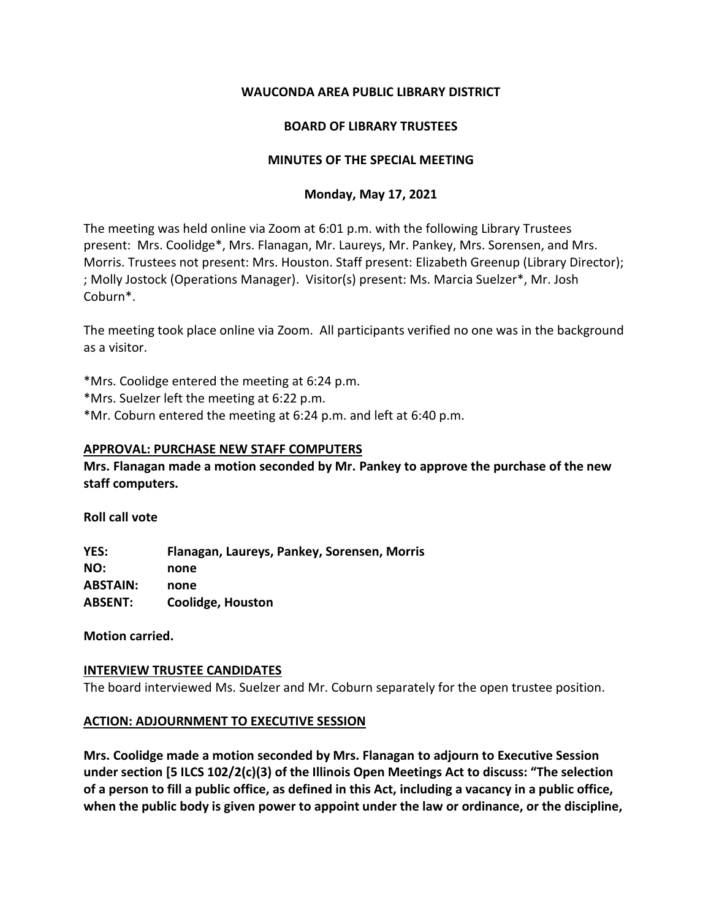## **WAUCONDA AREA PUBLIC LIBRARY DISTRICT**

## **BOARD OF LIBRARY TRUSTEES**

# **MINUTES OF THE SPECIAL MEETING**

# **Monday, May 17, 2021**

The meeting was held online via Zoom at 6:01 p.m. with the following Library Trustees present: Mrs. Coolidge\*, Mrs. Flanagan, Mr. Laureys, Mr. Pankey, Mrs. Sorensen, and Mrs. Morris. Trustees not present: Mrs. Houston. Staff present: Elizabeth Greenup (Library Director); ; Molly Jostock (Operations Manager). Visitor(s) present: Ms. Marcia Suelzer\*, Mr. Josh Coburn\*.

The meeting took place online via Zoom. All participants verified no one was in the background as a visitor.

\*Mrs. Coolidge entered the meeting at 6:24 p.m.

\*Mrs. Suelzer left the meeting at 6:22 p.m.

\*Mr. Coburn entered the meeting at 6:24 p.m. and left at 6:40 p.m.

## **APPROVAL: PURCHASE NEW STAFF COMPUTERS**

**Mrs. Flanagan made a motion seconded by Mr. Pankey to approve the purchase of the new staff computers.** 

**Roll call vote**

**YES: Flanagan, Laureys, Pankey, Sorensen, Morris NO: none ABSTAIN: none ABSENT: Coolidge, Houston**

**Motion carried.**

## **INTERVIEW TRUSTEE CANDIDATES**

The board interviewed Ms. Suelzer and Mr. Coburn separately for the open trustee position.

## **ACTION: ADJOURNMENT TO EXECUTIVE SESSION**

**Mrs. Coolidge made a motion seconded by Mrs. Flanagan to adjourn to Executive Session under section [5 ILCS 102/2(c)(3) of the Illinois Open Meetings Act to discuss: "The selection of a person to fill a public office, as defined in this Act, including a vacancy in a public office, when the public body is given power to appoint under the law or ordinance, or the discipline,**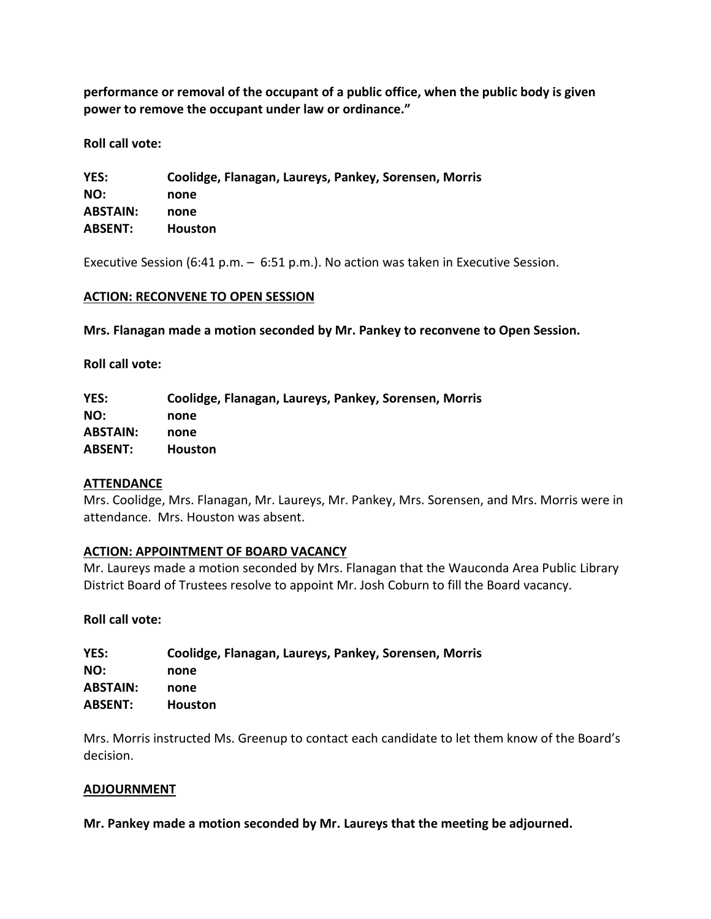**performance or removal of the occupant of a public office, when the public body is given power to remove the occupant under law or ordinance."** 

**Roll call vote:** 

| YES:            | Coolidge, Flanagan, Laureys, Pankey, Sorensen, Morris |
|-----------------|-------------------------------------------------------|
| NO:             | none                                                  |
| <b>ABSTAIN:</b> | none                                                  |
| <b>ABSENT:</b>  | <b>Houston</b>                                        |

Executive Session (6:41 p.m. – 6:51 p.m.). No action was taken in Executive Session.

#### **ACTION: RECONVENE TO OPEN SESSION**

**Mrs. Flanagan made a motion seconded by Mr. Pankey to reconvene to Open Session.**

**Roll call vote:** 

**YES: Coolidge, Flanagan, Laureys, Pankey, Sorensen, Morris NO: none ABSTAIN: none ABSENT: Houston**

#### **ATTENDANCE**

Mrs. Coolidge, Mrs. Flanagan, Mr. Laureys, Mr. Pankey, Mrs. Sorensen, and Mrs. Morris were in attendance. Mrs. Houston was absent.

## **ACTION: APPOINTMENT OF BOARD VACANCY**

Mr. Laureys made a motion seconded by Mrs. Flanagan that the Wauconda Area Public Library District Board of Trustees resolve to appoint Mr. Josh Coburn to fill the Board vacancy.

#### **Roll call vote:**

| Coolidge, Flanagan, Laureys, Pankey, Sorensen, Morris |
|-------------------------------------------------------|
| none                                                  |
| none                                                  |
| <b>Houston</b>                                        |
|                                                       |

Mrs. Morris instructed Ms. Greenup to contact each candidate to let them know of the Board's decision.

#### **ADJOURNMENT**

**Mr. Pankey made a motion seconded by Mr. Laureys that the meeting be adjourned.**